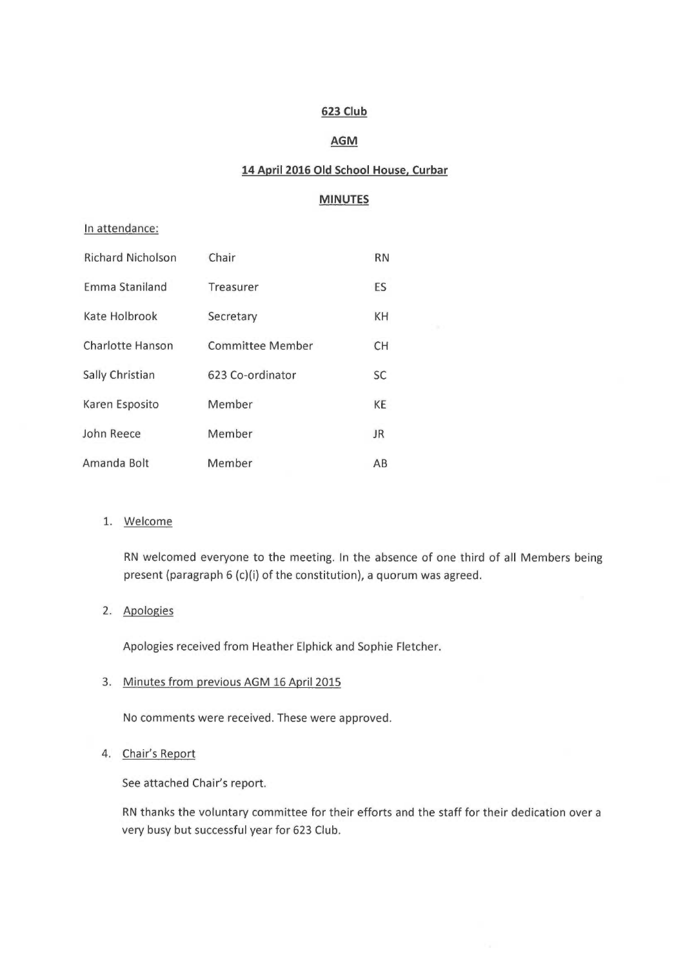## 623 Club

## **AGM**

# 14 April 2016 Old School House. Curbar

# MINUTES

#### In attendance:

| <b>Richard Nicholson</b> | Chair                   | <b>RN</b> |
|--------------------------|-------------------------|-----------|
| <b>Emma Staniland</b>    | Treasurer               | ES        |
| Kate Holbrook            | Secretary               | KH        |
| <b>Charlotte Hanson</b>  | <b>Committee Member</b> | <b>CH</b> |
| Sally Christian          | 623 Co-ordinator        | <b>SC</b> |
| Karen Esposito           | Member                  | KE        |
| John Reece               | Member                  | <b>JR</b> |
| Amanda Bolt              | Member                  | AB        |

## 1. Welcome

RN welcomed everyone to the meeting. In the absence of one third of all Members being present (paragraph 6 (c)(i) of the constitution), a quorum was agreed.

### 2. Apologies

Apologies received from Heather Elphick and Sophie Fletcher.

#### 3. Minutes from previous AGM 16 April 2015

No comments were received. These were approved.

## 4. Chair's Report

See attached Chair's report.

RN thanks the voluntary committee for their efforts and the staff for their dedication over a very busy but successful year for 623 Club.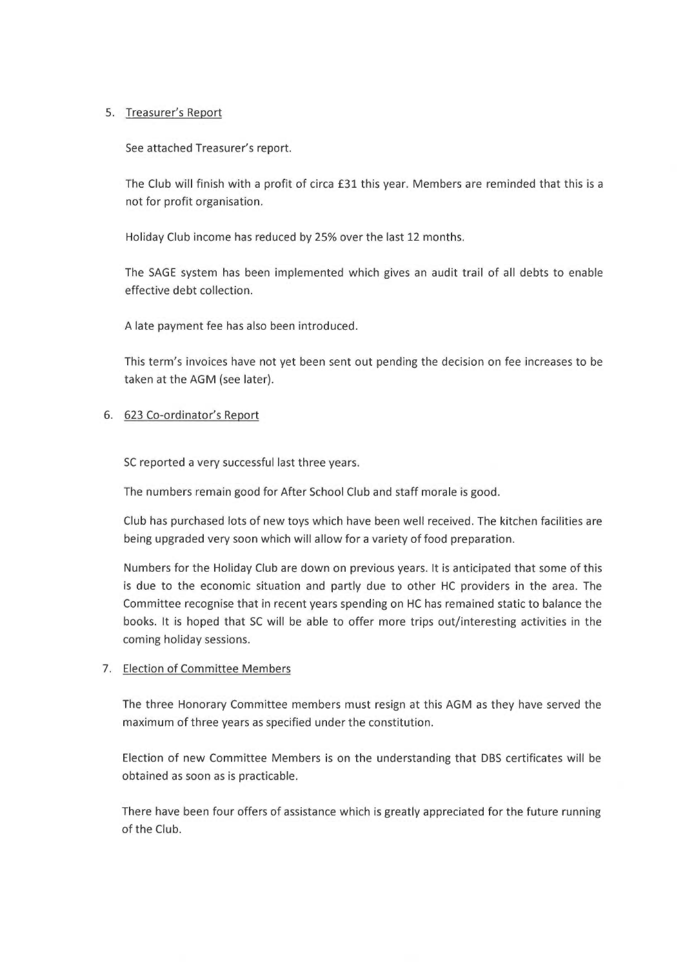## 5. Treasurer's Report

See attached Treasurer's report.

The Club will finish with a profit of circa £31 this year. Members are reminded that this is a not for profit organisation.

Holiday Club income has reduced by 25% over the last 12 months.

The SAGE system has been implemented which gives an audit trail of all debts to enable effective debt collection.

A late payment fee has also been introduced.

This term's invoices have not yet been sent out pending the decision on fee increases to be taken at the AGM (see later).

## 6. 623 Co-ordinator's Report

SC reported a very successful last three years.

The numbers remain good for After School Club and staff morale is good.

Club has purchased lots of new toys which have been well received. The kitchen facilities are being upgraded very soon which will allow for a variety of food preparation.

Numbers for the Holiday Club are down on previous years. It is anticipated that some of this is due to the economic situation and partly due to other HC providers in the area. The Committee recognise that in recent years spending on HC has remained static to balance the books. It is hoped that SC will be able to offer more trips out/interesting activities in the coming holiday sessions.

### 7. Election of Committee Members

The three Honorary Committee members must resign at this AGM as they have served the maximum of three years as specified under the constitution.

Election of new Committee Members is on the understanding that DBS certificates will be obtained as soon as is practicable.

There have been four offers of assistance which is greatly appreciated for the future running of the Club.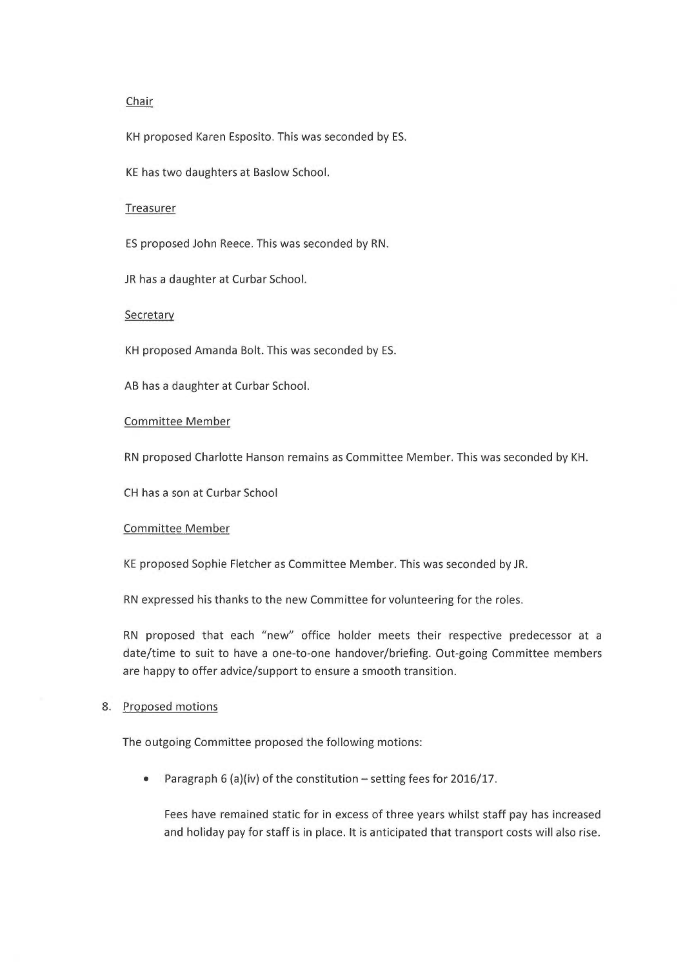### Chair

KH proposed Karen Esposito. This was seconded by ES.

KE has two daughters at Baslow School.

#### Treasurer

ES proposed John Reece. This was seconded by RN.

JR has a daughter at Curbar School.

#### Secretary

KH proposed Amanda Bolt. This was seconded by ES.

AB has a daughter at Curbar School.

### Committee Member

RN proposed Charlotte Hanson remains as Committee Member. This was seconded by KH.

CH has a son at Curbar School

#### Committee Member

KE proposed Sophie Fletcher as Committee Member. This was seconded by JR.

RN expressed his thanks to the new Committee for volunteering for the roles.

RN proposed that each "new" office holder meets their respective predecessor at a date/time to suit to have a one-to-one handover/briefing. Out-going Committee members are happy to offer advice/support to ensure a smooth transition.

#### 8. Proposed motions

The outgoing Committee proposed the following motions:

• Paragraph 6 (a)(iv) of the constitution  $-$  setting fees for 2016/17.

Fees have remained static for in excess of three years whilst staff pay has increased and holiday pay for staff is in place. It is anticipated that transport costs will also rise.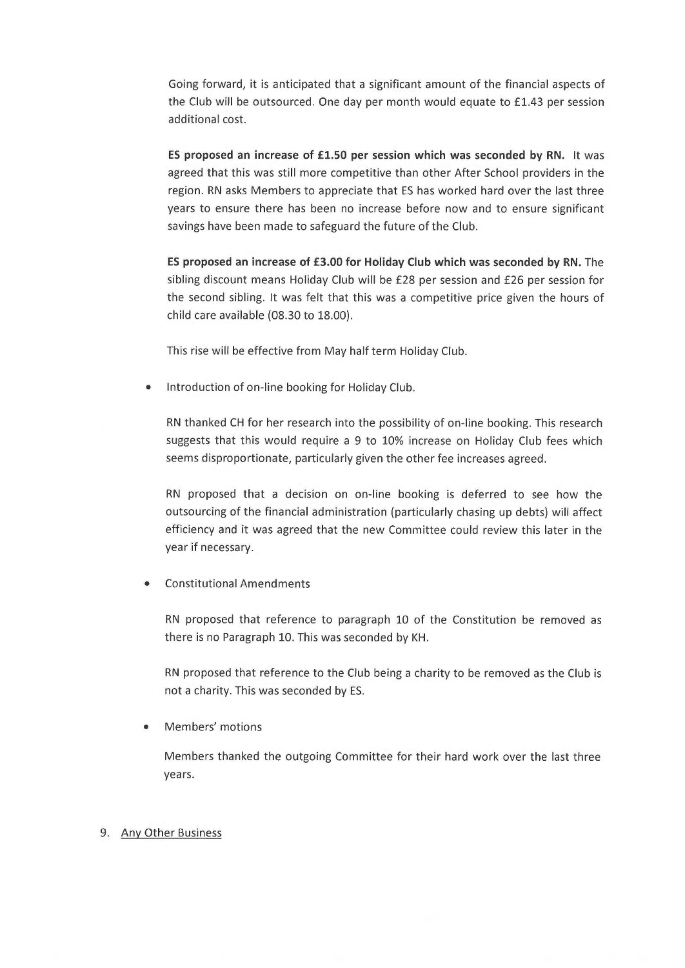Going forward, it is anticipated that a significant amount of the financial aspects of the Club will be outsourced. One day per month would equate to £1.43 per session additional cost.

ES proposed an increase of £1.50 per session which was seconded by RN. It was agreed that this was still more competitive than other After School providers in the region. RN asks Members to appreciate that ES has worked hard over the last three years to ensure there has been no increase before now and to ensure significant savings have been made to safeguard the future of the Club.

ES proposed an increase of £3.00 for Holiday Club which was seconded by RN. The sibling discount means Holiday Club will be f28 per session and £26 per session for the second sibling. It was felt that this was a competitive price given the hours of child care available (08.30 to 18.00).

This rise will be effective from May half term Holiday Club.

• Introduction of on-line booking for Holiday Club.

RN thanked CH for her research into the possibility of on-line booking. This research suggests that this would require a 9 to 10% increase on Holiday Club fees which seems disproportionate, particularly given the other fee increases agreed.

RN proposed that a decision on on-line booking is deferred to see how the outsourcing of the financial administration (particularly chasing up debts) will affect efficiency and it was agreed that the new Committee could review this later in the year if necessary.

• Constitutional Amendments

RN proposed that reference to paragraph 10 of the Constitution be removed as there is no Paragraph 10. This was seconded by KH.

RN proposed that reference to the Club being a charity to be removed as the Club is not a charity. This was seconded by ES.

Members' motions

Members thanked the outgoing Committee for their hard work over the last three years.

### 9. Any Other Business